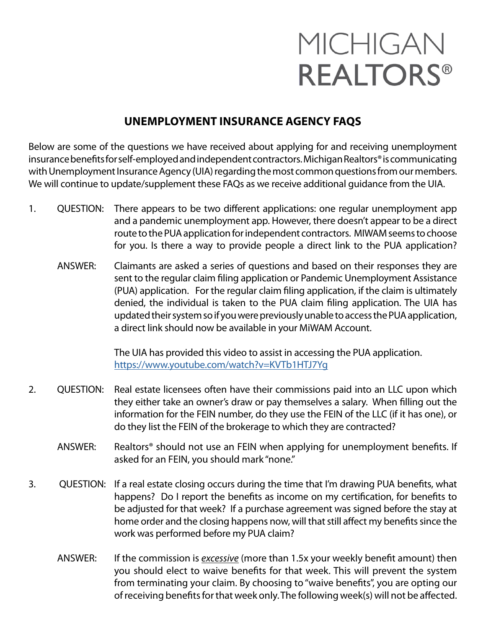## MICHIGAN **REALTORS®**

## **UNEMPLOYMENT INSURANCE AGENCY FAQS**

Below are some of the questions we have received about applying for and receiving unemployment insurance benefits for self-employed and independent contractors. Michigan Realtors® is communicating with Unemployment Insurance Agency (UIA) regarding the most common questions from our members. We will continue to update/supplement these FAQs as we receive additional guidance from the UIA.

- 1. QUESTION: There appears to be two different applications: one regular unemployment app and a pandemic unemployment app. However, there doesn't appear to be a direct route to the PUA application for independent contractors. MIWAM seems to choose for you. Is there a way to provide people a direct link to the PUA application?
	- ANSWER: Claimants are asked a series of questions and based on their responses they are sent to the regular claim filing application or Pandemic Unemployment Assistance (PUA) application. For the regular claim filing application, if the claim is ultimately denied, the individual is taken to the PUA claim filing application. The UIA has updated their system so if you were previously unable to access the PUA application, a direct link should now be available in your MiWAM Account.

 The UIA has provided this video to assist in accessing the PUA application. <https://www.youtube.com/watch?v=KVTb1HTJ7Yg>

- 2. QUESTION: Real estate licensees often have their commissions paid into an LLC upon which they either take an owner's draw or pay themselves a salary. When filling out the information for the FEIN number, do they use the FEIN of the LLC (if it has one), or do they list the FEIN of the brokerage to which they are contracted?
	- ANSWER: Realtors® should not use an FEIN when applying for unemployment benefits. If asked for an FEIN, you should mark "none."
- 3. QUESTION: If a real estate closing occurs during the time that I'm drawing PUA benefits, what happens? Do I report the benefits as income on my certification, for benefits to be adjusted for that week? If a purchase agreement was signed before the stay at home order and the closing happens now, will that still affect my benefits since the work was performed before my PUA claim?
	- ANSWER: If the commission is *excessive* (more than 1.5x your weekly benefit amount) then you should elect to waive benefits for that week. This will prevent the system from terminating your claim. By choosing to "waive benefits", you are opting our of receiving benefits for that week only. The following week(s) will not be affected.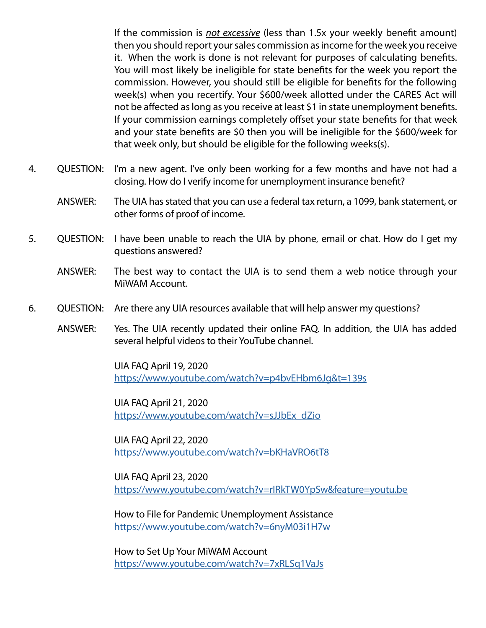If the commission is *not excessive* (less than 1.5x your weekly benefit amount) then you should report your sales commission as income for the week you receive it. When the work is done is not relevant for purposes of calculating benefits. You will most likely be ineligible for state benefits for the week you report the commission. However, you should still be eligible for benefits for the following week(s) when you recertify. Your \$600/week allotted under the CARES Act will not be affected as long as you receive at least \$1 in state unemployment benefits. If your commission earnings completely offset your state benefits for that week and your state benefits are \$0 then you will be ineligible for the \$600/week for that week only, but should be eligible for the following weeks(s).

- 4. QUESTION: I'm a new agent. I've only been working for a few months and have not had a closing. How do I verify income for unemployment insurance benefit?
	- ANSWER: The UIA has stated that you can use a federal tax return, a 1099, bank statement, or other forms of proof of income.
- 5. QUESTION: I have been unable to reach the UIA by phone, email or chat. How do I get my questions answered?
	- ANSWER: The best way to contact the UIA is to send them a web notice through your MiWAM Account.
- 6. QUESTION: Are there any UIA resources available that will help answer my questions?
	- ANSWER: Yes. The UIA recently updated their online FAQ. In addition, the UIA has added several helpful videos to their YouTube channel.

 UIA FAQ April 19, 2020 <https://www.youtube.com/watch?v=p4bvEHbm6Jg&t=139s>

 UIA FAQ April 21, 2020 [https://www.youtube.com/watch?v=sJJbEx\\_dZio](https://www.youtube.com/watch?v=sJJbEx_dZio)

 UIA FAQ April 22, 2020 <https://www.youtube.com/watch?v=bKHaVRO6tT8>

 UIA FAQ April 23, 2020 <https://www.youtube.com/watch?v=rIRkTW0YpSw&feature=youtu.be>

 How to File for Pandemic Unemployment Assistance <https://www.youtube.com/watch?v=6nyM03i1H7w>

 How to Set Up Your MiWAM Account <https://www.youtube.com/watch?v=7xRLSq1VaJs>